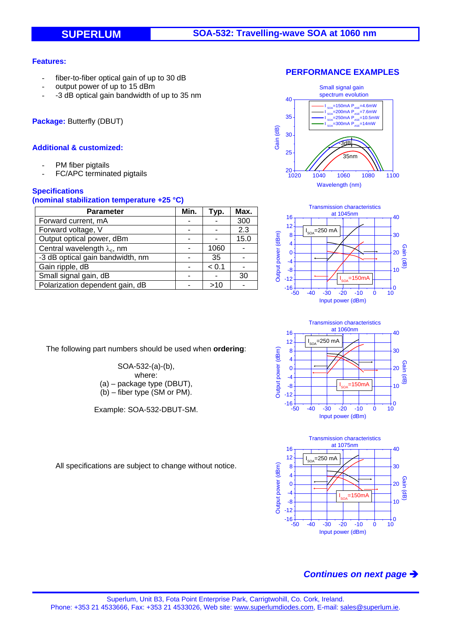## **Features:**

- fiber-to-fiber optical gain of up to 30 dB
- output power of up to 15 dBm
- -3 dB optical gain bandwidth of up to 35 nm

**Package:** Butterfly (DBUT)

## **Additional & customized:**

- PM fiber pigtails
- FC/APC terminated pigtails

## **Specifications**

#### **(nominal stabilization temperature +25 °C)**

| Parameter                           | Min. | Typ.  | Max. |
|-------------------------------------|------|-------|------|
| Forward current, mA                 |      |       | 300  |
| Forward voltage, V                  |      |       | 2.3  |
| Output optical power, dBm           |      |       | 15.0 |
| Central wavelength $\lambda_c$ , nm |      | 1060  |      |
| -3 dB optical gain bandwidth, nm    |      | 35    |      |
| Gain ripple, dB                     |      | < 0.1 |      |
| Small signal gain, dB               |      |       | 30   |
| Polarization dependent gain, dB     |      | >10   |      |

The following part numbers should be used when **ordering**:

SOA-532-(a)-(b), where: (a) – package type (DBUT), (b) – fiber type (SM or PM).

Example: SOA-532-DBUT-SM.









All specifications are subject to change without notice.

# *Continues on next page*

### **PERFORMANCE EXAMPLES**